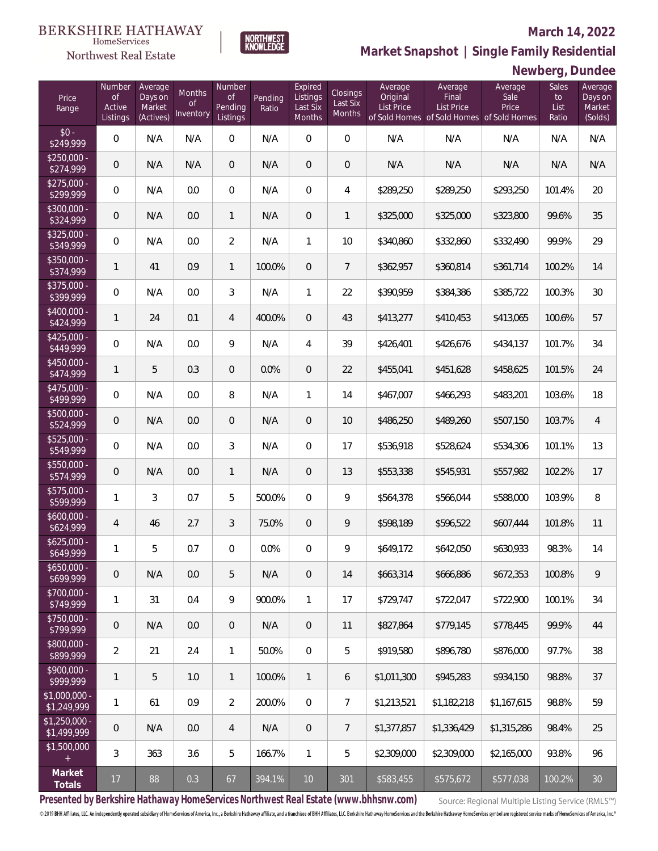#### **March 14, 2022**



Northwest Real Estate

# **Market Snapshot | Single Family Residential**

### **Newberg, Dundee**

| Price<br>Range                | Number<br><b>of</b><br>Active<br>Listings | Average<br>Days on<br>Market<br>(Actives) | <b>Months</b><br><b>of</b><br>Inventory | Number<br><b>of</b><br>Pending<br>Listings | Pending<br>Ratio | Expired<br>Listings<br>Last Six<br>Months | Closings<br>Last Six<br>Months | Average<br>Original<br><b>List Price</b> | Average<br>Final<br><b>List Price</b><br>of Sold Homes of Sold Homes of Sold Homes | Average<br>Sale<br>Price | Sales<br>to<br>List<br>Ratio | Average<br>Days on<br>Market<br>(Solds) |
|-------------------------------|-------------------------------------------|-------------------------------------------|-----------------------------------------|--------------------------------------------|------------------|-------------------------------------------|--------------------------------|------------------------------------------|------------------------------------------------------------------------------------|--------------------------|------------------------------|-----------------------------------------|
| $$0 -$<br>\$249,999           | $\overline{0}$                            | N/A                                       | N/A                                     | $\overline{0}$                             | N/A              | $\overline{0}$                            | $\overline{0}$                 | N/A                                      | N/A                                                                                | N/A                      | N/A                          | N/A                                     |
| $$250,000 -$<br>\$274,999     | $\overline{0}$                            | N/A                                       | N/A                                     | $\overline{0}$                             | N/A              | $\overline{0}$                            | $\mathbf 0$                    | N/A                                      | N/A                                                                                | N/A                      | N/A                          | N/A                                     |
| $$275,000 -$<br>\$299,999     | $\overline{0}$                            | N/A                                       | 0.0                                     | $\overline{0}$                             | N/A              | $\overline{0}$                            | 4                              | \$289,250                                | \$289,250                                                                          | \$293,250                | 101.4%                       | 20                                      |
| $$300,000 -$<br>\$324,999     | $\overline{0}$                            | N/A                                       | 0.0                                     | $\mathbf{1}$                               | N/A              | $\overline{0}$                            | 1                              | \$325,000                                | \$325,000                                                                          | \$323,800                | 99.6%                        | 35                                      |
| $$325,000 -$<br>\$349,999     | $\mathbf 0$                               | N/A                                       | 0.0                                     | $\overline{2}$                             | N/A              | $\mathbf{1}$                              | 10                             | \$340,860                                | \$332,860                                                                          | \$332,490                | 99.9%                        | 29                                      |
| \$350,000 -<br>\$374,999      | $\mathbf{1}$                              | 41                                        | 0.9                                     | $\mathbf{1}$                               | 100.0%           | $\overline{0}$                            | $7\overline{ }$                | \$362,957                                | \$360,814                                                                          | \$361,714                | 100.2%                       | 14                                      |
| $$375,000 -$<br>\$399,999     | $\overline{0}$                            | N/A                                       | 0.0                                     | 3                                          | N/A              | $\mathbf{1}$                              | 22                             | \$390,959                                | \$384,386                                                                          | \$385,722                | 100.3%                       | 30                                      |
| $$400,000 -$<br>\$424,999     | $\mathbf{1}$                              | 24                                        | 0.1                                     | $\overline{4}$                             | 400.0%           | $\overline{0}$                            | 43                             | \$413,277                                | \$410,453                                                                          | \$413,065                | 100.6%                       | 57                                      |
| $$425,000 -$<br>\$449,999     | $\mathbf 0$                               | N/A                                       | 0.0                                     | 9                                          | N/A              | $\overline{4}$                            | 39                             | \$426,401                                | \$426,676                                                                          | \$434,137                | 101.7%                       | 34                                      |
| $$450,000 -$<br>\$474,999     | $\mathbf{1}$                              | 5                                         | 0.3                                     | $\overline{0}$                             | 0.0%             | $\overline{0}$                            | 22                             | \$455,041                                | \$451,628                                                                          | \$458,625                | 101.5%                       | 24                                      |
| $$475,000 -$<br>\$499,999     | $\mathbf 0$                               | N/A                                       | 0.0                                     | 8                                          | N/A              | $\mathbf{1}$                              | 14                             | \$467,007                                | \$466,293                                                                          | \$483,201                | 103.6%                       | 18                                      |
| \$500,000 -<br>\$524,999      | $\overline{0}$                            | N/A                                       | 0.0                                     | $\overline{0}$                             | N/A              | $\overline{0}$                            | 10                             | \$486,250                                | \$489,260                                                                          | \$507,150                | 103.7%                       | $\overline{4}$                          |
| $$525,000 -$<br>\$549,999     | $\overline{0}$                            | N/A                                       | 0.0                                     | 3                                          | N/A              | $\Omega$                                  | 17                             | \$536,918                                | \$528,624                                                                          | \$534,306                | 101.1%                       | 13                                      |
| \$550,000 -<br>\$574,999      | $\overline{0}$                            | N/A                                       | 0.0                                     | $\mathbf{1}$                               | N/A              | $\Omega$                                  | 13                             | \$553,338                                | \$545,931                                                                          | \$557,982                | 102.2%                       | 17                                      |
| $$575,000 -$<br>\$599,999     | $\mathbf{1}$                              | $\mathcal{S}$                             | 0.7                                     | 5                                          | 500.0%           | $\Omega$                                  | 9                              | \$564,378                                | \$566,044                                                                          | \$588,000                | 103.9%                       | 8                                       |
| $$600,000 -$<br>\$624,999     | $\overline{4}$                            | 46                                        | 2.7                                     | 3                                          | 75.0%            | $\overline{0}$                            | 9                              | \$598,189                                | \$596,522                                                                          | \$607,444                | 101.8%                       | 11                                      |
| $$625,000 -$<br>\$649,999     | 1                                         | 5                                         | 0.7                                     | $\overline{0}$                             | 0.0%             | $\Omega$                                  | 9                              | \$649,172                                | \$642,050                                                                          | \$630,933                | 98.3%                        | 14                                      |
| $$650,000 -$<br>\$699,999     | $\mathbf 0$                               | N/A                                       | 0.0                                     | 5                                          | N/A              | $\mathbf 0$                               | 14                             | \$663,314                                | \$666,886                                                                          | \$672,353                | 100.8%                       | 9                                       |
| \$700,000 -<br>\$749,999      | 1                                         | 31                                        | 0.4                                     | 9                                          | 900.0%           | $\mathbf{1}$                              | 17                             | \$729,747                                | \$722,047                                                                          | \$722,900                | 100.1%                       | 34                                      |
| \$750,000 -<br>\$799,999      | $\overline{0}$                            | N/A                                       | 0.0                                     | $\mathbf 0$                                | N/A              | $\mathbf 0$                               | 11                             | \$827,864                                | \$779,145                                                                          | \$778,445                | 99.9%                        | 44                                      |
| \$800,000 -<br>\$899,999      | $\overline{2}$                            | 21                                        | 2.4                                     | 1                                          | 50.0%            | $\mathbf{0}$                              | 5                              | \$919,580                                | \$896,780                                                                          | \$876,000                | 97.7%                        | 38                                      |
| \$900,000 -<br>\$999,999      | 1                                         | 5                                         | 1.0                                     | $\mathbf{1}$                               | 100.0%           | $\mathbf{1}$                              | 6                              | \$1,011,300                              | \$945,283                                                                          | \$934,150                | 98.8%                        | 37                                      |
| \$1,000,000 -<br>\$1,249,999  | $\mathbf{1}$                              | 61                                        | 0.9                                     | $\overline{2}$                             | 200.0%           | $\mathbf{0}$                              | $\overline{7}$                 | \$1,213,521                              | \$1,182,218                                                                        | \$1,167,615              | 98.8%                        | 59                                      |
| $$1,250,000 -$<br>\$1,499,999 | $\mathbf 0$                               | N/A                                       | 0.0                                     | $\overline{4}$                             | N/A              | $\overline{0}$                            | $7\phantom{.}$                 | \$1,377,857                              | \$1,336,429                                                                        | \$1,315,286              | 98.4%                        | 25                                      |
| \$1,500,000<br>$+$            | 3                                         | 363                                       | 3.6                                     | 5                                          | 166.7%           | $\mathbf{1}$                              | 5                              | \$2,309,000                              | \$2,309,000                                                                        | \$2,165,000              | 93.8%                        | 96                                      |
| Market<br>Totals              | 17                                        | 88                                        | 0.3                                     | 67                                         | 394.1%           | $10$                                      | 301                            | \$583,455                                | \$575,672                                                                          | \$577,038                | 100.2%                       | $30\,$                                  |

**Presented by Berkshire Hathaway HomeServices Northwest Real Estate (www.bhhsnw.com)**

Source: Regional Multiple Listing Service (RMLS™)

© 2019 BHH Affiliates, LLC. An independently operated subsidiary of HomeServices of America, Inc., a Berkshire Hathaway affiliate, and a franchisee of BHH Affiliates, LLC. Berkshire Hathaway HomeServices and the Berkshire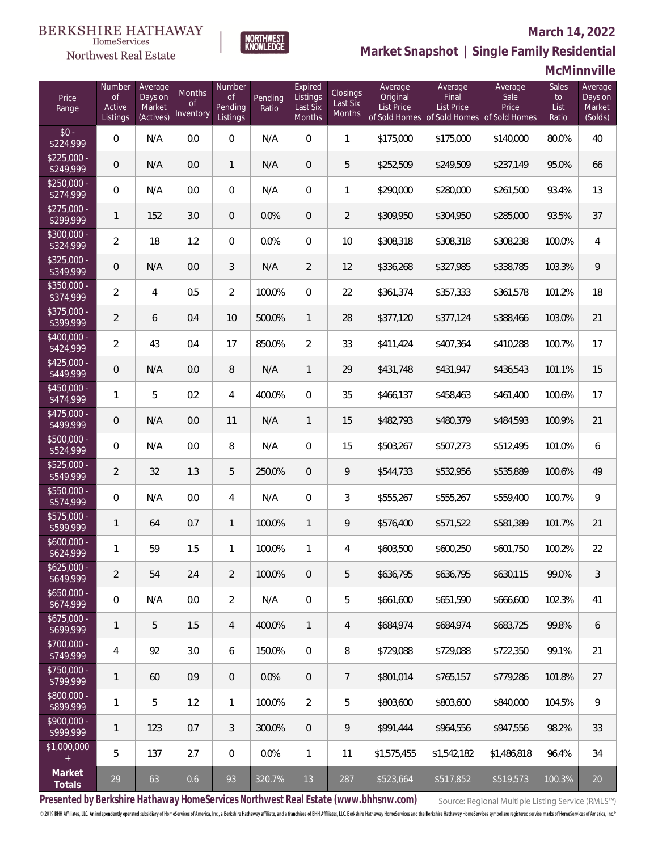# $\begin{matrix} \texttt{BERKSHIRE\ HATHAWAY}\footnotesize\texttt{Hom}\texttt{S} \texttt{e} \texttt{V} \texttt{R} \texttt{G} \texttt{P} \texttt{G} \texttt{P} \texttt{G} \texttt{P} \texttt{G} \texttt{P} \texttt{G} \texttt{P} \texttt{G} \texttt{P} \texttt{G} \texttt{P} \texttt{G} \texttt{P} \texttt{G} \texttt{P} \texttt{G} \texttt{P} \texttt{G} \texttt{P} \texttt{G} \texttt{P} \texttt{G} \texttt{P} \texttt{G} \texttt{P} \$

### Northwest Real Estate

### **March 14, 2022**



# **Market Snapshot | Single Family Residential**

## **McMinnville**

| Price<br>Range            | Number<br><b>of</b><br>Active<br>Listings | Average<br>Days on<br>Market<br>(Actives) | Months<br><b>of</b><br>Inventory | Number<br><b>of</b><br>Pending<br>Listings | Pending<br>Ratio | Expired<br>Listings<br>Last Six<br>Months | Closings<br>Last Six<br><b>Months</b> | Average<br>Original<br>List Price | Average<br>Final<br>List Price<br>of Sold Homes of Sold Homes of Sold Homes | Average<br>Sale<br>Price | Sales<br>to<br>List<br>Ratio | Average<br>Days on<br>Market<br>(Solds) |
|---------------------------|-------------------------------------------|-------------------------------------------|----------------------------------|--------------------------------------------|------------------|-------------------------------------------|---------------------------------------|-----------------------------------|-----------------------------------------------------------------------------|--------------------------|------------------------------|-----------------------------------------|
| $$0 -$<br>\$224,999       | 0                                         | N/A                                       | 0.0                              | $\sqrt{a}$                                 | N/A              | $\mathbf 0$                               | $\mathbf{1}$                          | \$175,000                         | \$175,000                                                                   | \$140,000                | 80.0%                        | 40                                      |
| $$225,000 -$<br>\$249,999 | $\overline{0}$                            | N/A                                       | 0.0                              | $\mathbf{1}$                               | N/A              | $\overline{0}$                            | 5                                     | \$252,509                         | \$249,509                                                                   | \$237,149                | 95.0%                        | 66                                      |
| $$250,000 -$<br>\$274,999 | $\mathbf 0$                               | N/A                                       | 0.0                              | $\mathbf{0}$                               | N/A              | $\overline{0}$                            | 1                                     | \$290,000                         | \$280,000                                                                   | \$261,500                | 93.4%                        | 13                                      |
| $$275,000 -$<br>\$299,999 | $\mathbf{1}$                              | 152                                       | 3.0                              | $\mathbf 0$                                | 0.0%             | $\mathbf 0$                               | $\overline{2}$                        | \$309,950                         | \$304,950                                                                   | \$285,000                | 93.5%                        | 37                                      |
| $$300,000 -$<br>\$324,999 | $\overline{2}$                            | 18                                        | 1.2                              | $\mathbf{0}$                               | 0.0%             | $\overline{0}$                            | 10                                    | \$308,318                         | \$308,318                                                                   | \$308,238                | 100.0%                       | $\overline{4}$                          |
| $$325,000 -$<br>\$349,999 | $\overline{0}$                            | N/A                                       | 0.0                              | 3                                          | N/A              | $\overline{2}$                            | 12                                    | \$336,268                         | \$327,985                                                                   | \$338,785                | 103.3%                       | $\overline{9}$                          |
| $$350,000 -$<br>\$374,999 | $\overline{2}$                            | $\overline{4}$                            | 0.5                              | $\overline{2}$                             | 100.0%           | $\overline{0}$                            | 22                                    | \$361,374                         | \$357,333                                                                   | \$361,578                | 101.2%                       | 18                                      |
| \$375,000 -<br>\$399,999  | $\overline{2}$                            | 6                                         | 0.4                              | 10                                         | 500.0%           | 1                                         | 28                                    | \$377,120                         | \$377,124                                                                   | \$388,466                | 103.0%                       | 21                                      |
| $$400,000 -$<br>\$424,999 | $\overline{2}$                            | 43                                        | 0.4                              | 17                                         | 850.0%           | $\overline{2}$                            | 33                                    | \$411,424                         | \$407,364                                                                   | \$410,288                | 100.7%                       | 17                                      |
| $$425,000 -$<br>\$449,999 | $\overline{0}$                            | N/A                                       | 0.0                              | 8                                          | N/A              | $\mathbf{1}$                              | 29                                    | \$431,748                         | \$431,947                                                                   | \$436,543                | 101.1%                       | 15                                      |
| $$450,000 -$<br>\$474,999 | $\mathbf{1}$                              | 5                                         | 0.2                              | 4                                          | 400.0%           | $\Omega$                                  | 35                                    | \$466,137                         | \$458,463                                                                   | \$461,400                | 100.6%                       | 17                                      |
| $$475,000 -$<br>\$499,999 | $\overline{0}$                            | N/A                                       | 0.0                              | 11                                         | N/A              | $\mathbf{1}$                              | 15                                    | \$482,793                         | \$480,379                                                                   | \$484,593                | 100.9%                       | 21                                      |
| $$500,000 -$<br>\$524,999 | 0                                         | N/A                                       | 0.0                              | 8                                          | N/A              | $\Omega$                                  | 15                                    | \$503,267                         | \$507,273                                                                   | \$512,495                | 101.0%                       | 6                                       |
| $$525,000 -$<br>\$549,999 | $\overline{2}$                            | 32                                        | 1.3                              | 5                                          | 250.0%           | $\overline{0}$                            | 9                                     | \$544,733                         | \$532,956                                                                   | \$535,889                | 100.6%                       | 49                                      |
| $$550,000 -$<br>\$574,999 | 0                                         | N/A                                       | 0.0                              | 4                                          | N/A              | $\overline{0}$                            | 3                                     | \$555,267                         | \$555,267                                                                   | \$559,400                | 100.7%                       | 9                                       |
| $$575,000 -$<br>\$599,999 | $\mathbf{1}$                              | 64                                        | 0.7                              | $\mathbf{1}$                               | 100.0%           | 1                                         | 9                                     | \$576,400                         | \$571,522                                                                   | \$581,389                | 101.7%                       | 21                                      |
| $$600,000 -$<br>\$624,999 | 1                                         | 59                                        | 1.5                              | $\mathbf{1}$                               | 100.0%           | $\mathbf{1}$                              | 4                                     | \$603,500                         | \$600,250                                                                   | \$601,750                | 100.2%                       | 22                                      |
| $$625,000 -$<br>\$649,999 | $\overline{2}$                            | 54                                        | 2.4                              | $\overline{2}$                             | 100.0%           | 0                                         | 5                                     | \$636,795                         | \$636,795                                                                   | \$630,115                | 99.0%                        | 3                                       |
| $$650,000 -$<br>\$674,999 | 0                                         | N/A                                       | 0.0                              | $\overline{2}$                             | N/A              | $\mathbf 0$                               | 5                                     | \$661,600                         | \$651,590                                                                   | \$666,600                | 102.3%                       | 41                                      |
| $$675,000 -$<br>\$699,999 | 1                                         | 5                                         | 1.5                              | 4                                          | 400.0%           | $\mathbf{1}$                              | 4                                     | \$684,974                         | \$684,974                                                                   | \$683,725                | 99.8%                        | 6                                       |
| \$700,000 -<br>\$749,999  | 4                                         | 92                                        | 3.0                              | 6                                          | 150.0%           | $\overline{0}$                            | 8                                     | \$729,088                         | \$729,088                                                                   | \$722,350                | 99.1%                        | 21                                      |
| \$750,000 -<br>\$799,999  | 1                                         | 60                                        | 0.9                              | $\mathbf{0}$                               | 0.0%             | $\overline{0}$                            | 7                                     | \$801,014                         | \$765,157                                                                   | \$779,286                | 101.8%                       | 27                                      |
| \$800,000 -<br>\$899,999  | 1                                         | 5                                         | 1.2                              | 1                                          | 100.0%           | 2                                         | 5                                     | \$803,600                         | \$803,600                                                                   | \$840,000                | 104.5%                       | 9                                       |
| \$900,000 -<br>\$999,999  | 1                                         | 123                                       | 0.7                              | 3                                          | 300.0%           | $\overline{0}$                            | 9                                     | \$991,444                         | \$964,556                                                                   | \$947,556                | 98.2%                        | 33                                      |
| \$1,000,000<br>$^{+}$     | 5                                         | 137                                       | 2.7                              | $\,0\,$                                    | 0.0%             | 1                                         | 11                                    | \$1,575,455                       | \$1,542,182                                                                 | \$1,486,818              | 96.4%                        | 34                                      |
| Market<br>Totals          | 29                                        | 63                                        | 0.6                              | 93                                         | 320.7%           | 13                                        | 287                                   | \$523,664                         | \$517,852                                                                   | \$519,573                | 100.3%                       | 20                                      |

**Presented by Berkshire Hathaway HomeServices Northwest Real Estate (www.bhhsnw.com)**

Source: Regional Multiple Listing Service (RMLS™)

© 2019 BHH Affiliates, LLC. An independently operated subsidiary of HomeServices of America, Inc., a Berkshire Hathaway affiliate, and a franchisee of BHH Affiliates, LLC. Berkshire Hathaway HomeServices and the Berkshire